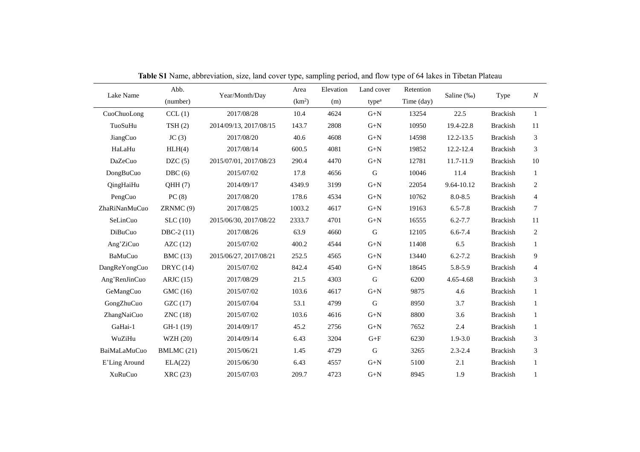| Lake Name      | Abb.        | Year/Month/Day         | Area               | Elevation | Land cover                     | Retention  |             |                 |                             |
|----------------|-------------|------------------------|--------------------|-----------|--------------------------------|------------|-------------|-----------------|-----------------------------|
|                | (number)    |                        | (km <sup>2</sup> ) | (m)       | type <sup>a</sup>              | Time (day) | Saline (‰)  | Type            | $\boldsymbol{N}$            |
| CuoChuoLong    | CCL(1)      | 2017/08/28             | 10.4               | 4624      | $G+N$                          | 13254      | 22.5        | <b>Brackish</b> | $\mathbf{1}$                |
| TuoSuHu        | TSH(2)      | 2014/09/13, 2017/08/15 | 143.7              | 2808      | $G+N$                          | 10950      | 19.4-22.8   | <b>Brackish</b> | 11                          |
| JiangCuo       | JC(3)       | 2017/08/20             | 40.6               | 4608      | $G+N$                          | 14598      | 12.2-13.5   | <b>Brackish</b> | 3                           |
| HaLaHu         | HLH(4)      | 2017/08/14             | 600.5              | 4081      | $\mbox{G+N}$                   | 19852      | 12.2-12.4   | <b>Brackish</b> | 3                           |
| DaZeCuo        | DZC(5)      | 2015/07/01, 2017/08/23 | 290.4              | 4470      | $G+N$                          | 12781      | 11.7-11.9   | <b>Brackish</b> | 10                          |
| DongBuCuo      | DBC(6)      | 2015/07/02             | 17.8               | 4656      | $\mathsf G$                    | 10046      | 11.4        | <b>Brackish</b> | 1                           |
| QingHaiHu      | QHH(7)      | 2014/09/17             | 4349.9             | 3199      | $G+N$                          | 22054      | 9.64-10.12  | <b>Brackish</b> | $\overline{c}$              |
| PengCuo        | PC(8)       | 2017/08/20             | 178.6              | 4534      | $G+N$                          | 10762      | $8.0 - 8.5$ | <b>Brackish</b> | $\overline{4}$              |
| ZhaRiNanMuCuo  | ZRNMC(9)    | 2017/08/25             | 1003.2             | 4617      | $\mbox{G+N}$                   | 19163      | $6.5 - 7.8$ | <b>Brackish</b> | $\tau$                      |
| SeLinCuo       | SLC(10)     | 2015/06/30, 2017/08/22 | 2333.7             | 4701      | $G+N$                          | 16555      | $6.2 - 7.7$ | <b>Brackish</b> | 11                          |
| DiBuCuo        | $DBC-2(11)$ | 2017/08/26             | 63.9               | 4660      | G                              | 12105      | $6.6 - 7.4$ | <b>Brackish</b> | $\overline{c}$              |
| Ang'ZiCuo      | AZC(12)     | 2015/07/02             | 400.2              | 4544      | $G+N$                          | 11408      | 6.5         | <b>Brackish</b> | 1                           |
| BaMuCuo        | BMC(13)     | 2015/06/27, 2017/08/21 | 252.5              | 4565      | $G+N$                          | 13440      | $6.2 - 7.2$ | <b>Brackish</b> | 9                           |
| DangReYongCuo  | DRYC $(14)$ | 2015/07/02             | 842.4              | 4540      | $\mbox{G+N}$                   | 18645      | 5.8-5.9     | <b>Brackish</b> | $\overline{4}$              |
| Ang'RenJinCuo  | ARJC(15)    | 2017/08/29             | 21.5               | 4303      | G                              | 6200       | 4.65-4.68   | <b>Brackish</b> | 3                           |
| GeMangCuo      | GMC (16)    | 2015/07/02             | 103.6              | 4617      | $G+N$                          | 9875       | 4.6         | <b>Brackish</b> | $\mathbf{1}$                |
| GongZhuCuo     | GZC(17)     | 2015/07/04             | 53.1               | 4799      | $\mathbf G$                    | 8950       | 3.7         | <b>Brackish</b> | $\mathbf{1}$                |
| ZhangNaiCuo    | ZNC(18)     | 2015/07/02             | 103.6              | 4616      | $G+N$                          | 8800       | 3.6         | <b>Brackish</b> | $\mathbf{1}$                |
| GaHai-1        | GH-1 (19)   | 2014/09/17             | 45.2               | 2756      | $\mbox{G+N}$                   | 7652       | 2.4         | <b>Brackish</b> | $\mathbf{1}$                |
| WuZiHu         | WZH (20)    | 2014/09/14             | 6.43               | 3204      | $\mathrm{G}\text{+}\mathrm{F}$ | 6230       | $1.9 - 3.0$ | <b>Brackish</b> | $\boldsymbol{\mathfrak{Z}}$ |
| BaiMaLaMuCuo   | BMLMC(21)   | 2015/06/21             | 1.45               | 4729      | $\mathsf G$                    | 3265       | $2.3 - 2.4$ | <b>Brackish</b> | 3                           |
| E'Ling Around  | ELA(22)     | 2015/06/30             | 6.43               | 4557      | $G+N$                          | 5100       | 2.1         | <b>Brackish</b> | $\mathbf{1}$                |
| <b>XuRuCuo</b> | XRC(23)     | 2015/07/03             | 209.7              | 4723      | $G+N$                          | 8945       | 1.9         | <b>Brackish</b> | 1                           |

**Table S1** Name, abbreviation, size, land cover type, sampling period, and flow type of 64 lakes in Tibetan Plateau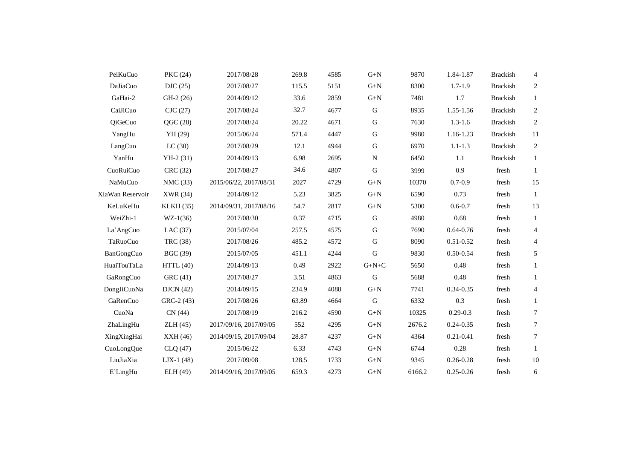| PeiKuCuo         | PKC (24)        | 2017/08/28             | 269.8 | 4585 | $G+N$        | 9870   | 1.84-1.87     | <b>Brackish</b> | 4              |
|------------------|-----------------|------------------------|-------|------|--------------|--------|---------------|-----------------|----------------|
| DaJiaCuo         | DIC(25)         | 2017/08/27             | 115.5 | 5151 | $\mbox{G+N}$ | 8300   | $1.7 - 1.9$   | <b>Brackish</b> | $\overline{c}$ |
| GaHai-2          | $GH-2(26)$      | 2014/09/12             | 33.6  | 2859 | $\mbox{G+N}$ | 7481   | 1.7           | <b>Brackish</b> | $\mathbf{1}$   |
| CaiJiCuo         | CJC(27)         | 2017/08/24             | 32.7  | 4677 | ${\bf G}$    | 8935   | 1.55-1.56     | <b>Brackish</b> | $\overline{c}$ |
| QiGeCuo          | QGC (28)        | 2017/08/24             | 20.22 | 4671 | ${\bf G}$    | 7630   | $1.3 - 1.6$   | <b>Brackish</b> | $\sqrt{2}$     |
| YangHu           | YH (29)         | 2015/06/24             | 571.4 | 4447 | ${\bf G}$    | 9980   | 1.16-1.23     | <b>Brackish</b> | $11\,$         |
| LangCuo          | LC(30)          | 2017/08/29             | 12.1  | 4944 | ${\bf G}$    | 6970   | $1.1 - 1.3$   | <b>Brackish</b> | $\overline{c}$ |
| YanHu            | $YH-2(31)$      | 2014/09/13             | 6.98  | 2695 | N            | 6450   | 1.1           | <b>Brackish</b> | $\mathbf{1}$   |
| CuoRuiCuo        | CRC (32)        | 2017/08/27             | 34.6  | 4807 | $\mathsf G$  | 3999   | 0.9           | fresh           | -1             |
| NaMuCuo          | NMC (33)        | 2015/06/22, 2017/08/31 | 2027  | 4729 | $\mbox{G+N}$ | 10370  | $0.7 - 0.9$   | fresh           | 15             |
| XiaWan Reservoir | XWR (34)        | 2014/09/12             | 5.23  | 3825 | $\mbox{G+N}$ | 6590   | 0.73          | fresh           | -1             |
| KeLuKeHu         | KLKH(35)        | 2014/09/31, 2017/08/16 | 54.7  | 2817 | $\mbox{G+N}$ | 5300   | $0.6 - 0.7$   | fresh           | 13             |
| WeiZhi-1         | $WZ-1(36)$      | 2017/08/30             | 0.37  | 4715 | ${\bf G}$    | 4980   | 0.68          | fresh           | $\mathbf{1}$   |
| La' AngCuo       | LAC $(37)$      | 2015/07/04             | 257.5 | 4575 | ${\bf G}$    | 7690   | $0.64 - 0.76$ | fresh           | 4              |
| TaRuoCuo         | TRC (38)        | 2017/08/26             | 485.2 | 4572 | $\mathbf G$  | 8090   | $0.51 - 0.52$ | fresh           | 4              |
| BanGongCuo       | <b>BGC</b> (39) | 2015/07/05             | 451.1 | 4244 | ${\bf G}$    | 9830   | $0.50 - 0.54$ | fresh           | 5              |
| HuaiTouTaLa      | HTTL(40)        | 2014/09/13             | 0.49  | 2922 | $G+N+C$      | 5650   | 0.48          | fresh           | $\mathbf{1}$   |
| GaRongCuo        | GRC (41)        | 2017/08/27             | 3.51  | 4863 | $\mathbf G$  | 5688   | 0.48          | fresh           | $\mathbf{1}$   |
| DongJiCuoNa      | DJCN(42)        | 2014/09/15             | 234.9 | 4088 | $\mbox{G+N}$ | 7741   | $0.34 - 0.35$ | fresh           | 4              |
| GaRenCuo         | GRC-2 (43)      | 2017/08/26             | 63.89 | 4664 | ${\bf G}$    | 6332   | 0.3           | fresh           | $\mathbf{1}$   |
| CuoNa            | CN(44)          | 2017/08/19             | 216.2 | 4590 | $\mbox{G+N}$ | 10325  | $0.29 - 0.3$  | fresh           | 7              |
| ZhaLingHu        | ZLH(45)         | 2017/09/16, 2017/09/05 | 552   | 4295 | $\mbox{G+N}$ | 2676.2 | $0.24 - 0.35$ | fresh           | $\tau$         |
| XingXingHai      | XXH(46)         | 2014/09/15, 2017/09/04 | 28.87 | 4237 | $\mbox{G+N}$ | 4364   | $0.21 - 0.41$ | fresh           | $\tau$         |
| CuoLongQue       | CLQ(47)         | 2015/06/22             | 6.33  | 4743 | $\mbox{G+N}$ | 6744   | 0.28          | fresh           | $\mathbf{1}$   |
| LiuJiaXia        | $LJX-1(48)$     | 2017/09/08             | 128.5 | 1733 | $\mbox{G+N}$ | 9345   | $0.26 - 0.28$ | fresh           | $10\,$         |
| E'LingHu         | ELH (49)        | 2014/09/16, 2017/09/05 | 659.3 | 4273 | $G+N$        | 6166.2 | $0.25 - 0.26$ | fresh           | 6              |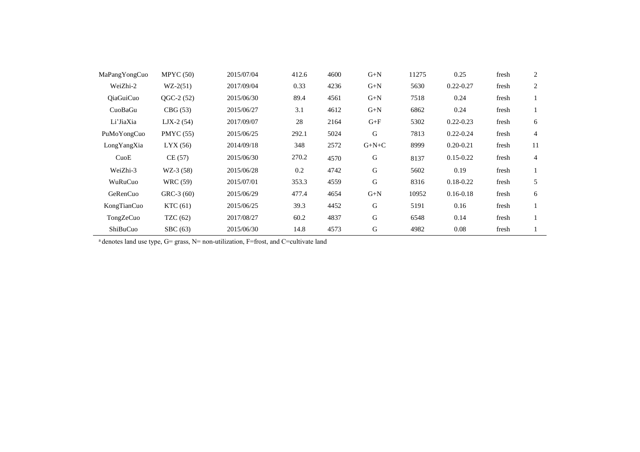| MaPangYongCuo    | MPYC(50)         | 2015/07/04 | 412.6 | 4600 | $G+N$     | 11275 | 0.25          | fresh | 2  |
|------------------|------------------|------------|-------|------|-----------|-------|---------------|-------|----|
| WeiZhi-2         | $WZ-2(51)$       | 2017/09/04 | 0.33  | 4236 | $G+N$     | 5630  | $0.22 - 0.27$ | fresh | 2  |
| <b>OiaGuiCuo</b> | $OGC-2(52)$      | 2015/06/30 | 89.4  | 4561 | $G+N$     | 7518  | 0.24          | fresh |    |
| CuoBaGu          | CBG(53)          | 2015/06/27 | 3.1   | 4612 | $G+N$     | 6862  | 0.24          | fresh |    |
| Li'JiaXia        | $LJX-2(54)$      | 2017/09/07 | 28    | 2164 | $G + F$   | 5302  | $0.22 - 0.23$ | fresh | 6  |
| PuMoYongCuo      | <b>PMYC</b> (55) | 2015/06/25 | 292.1 | 5024 | G         | 7813  | $0.22 - 0.24$ | fresh | 4  |
| LongYangXia      | LYX(56)          | 2014/09/18 | 348   | 2572 | $G+N+C$   | 8999  | $0.20 - 0.21$ | fresh | 11 |
| CuoE             | CE(57)           | 2015/06/30 | 270.2 | 4570 | G         | 8137  | $0.15 - 0.22$ | fresh | 4  |
| WeiZhi-3         | $WZ-3(58)$       | 2015/06/28 | 0.2   | 4742 | G         | 5602  | 0.19          | fresh |    |
| WuRuCuo          | <b>WRC</b> (59)  | 2015/07/01 | 353.3 | 4559 | ${\bf G}$ | 8316  | $0.18 - 0.22$ | fresh | 5  |
| GeRenCuo         | $GRC-3(60)$      | 2015/06/29 | 477.4 | 4654 | $G+N$     | 10952 | $0.16 - 0.18$ | fresh | 6  |
| KongTianCuo      | KTC(61)          | 2015/06/25 | 39.3  | 4452 | G         | 5191  | 0.16          | fresh |    |
| TongZeCuo        | TZC $(62)$       | 2017/08/27 | 60.2  | 4837 | G         | 6548  | 0.14          | fresh |    |
| ShiBuCuo         | SBC(63)          | 2015/06/30 | 14.8  | 4573 | G         | 4982  | 0.08          | fresh |    |

<sup>a</sup> denotes land use type, G= grass, N= non-utilization, F=frost, and C=cultivate land

 $\overline{\phantom{a}}$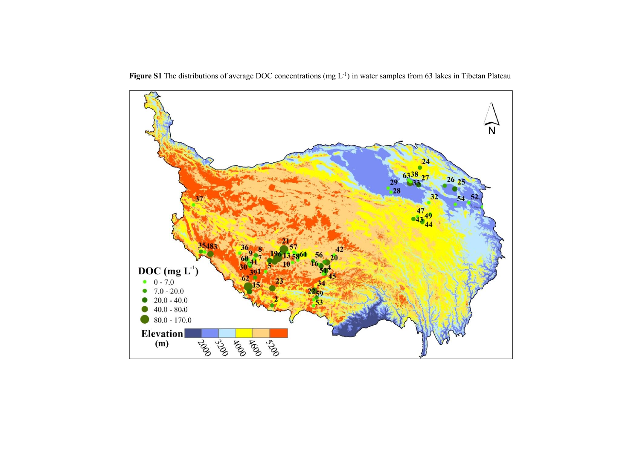

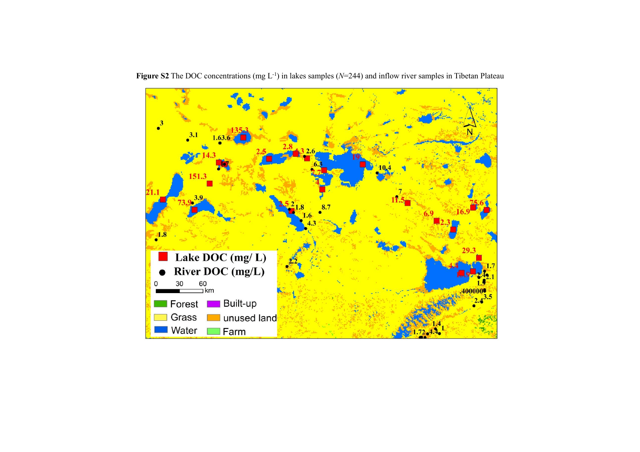

Figure S2 The DOC concentrations (mg L<sup>-1</sup>) in lakes samples (*N*=244) and inflow river samples in Tibetan Plateau